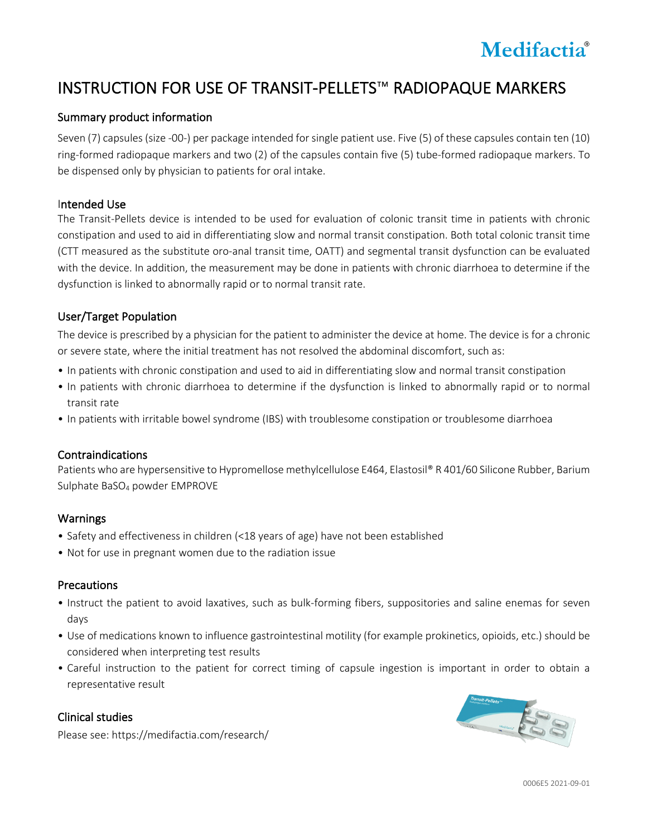

# INSTRUCTION FOR USE OF TRANSIT-PELLETS™ RADIOPAQUE MARKERS

# Summary product information

Seven (7) capsules (size -00-) per package intended for single patient use. Five (5) of these capsules contain ten (10) ring-formed radiopaque markers and two (2) of the capsules contain five (5) tube-formed radiopaque markers. To be dispensed only by physician to patients for oral intake.

## Intended Use

The Transit-Pellets device is intended to be used for evaluation of colonic transit time in patients with chronic constipation and used to aid in differentiating slow and normal transit constipation. Both total colonic transit time (CTT measured as the substitute oro-anal transit time, OATT) and segmental transit dysfunction can be evaluated with the device. In addition, the measurement may be done in patients with chronic diarrhoea to determine if the dysfunction is linked to abnormally rapid or to normal transit rate.

# User/Target Population

The device is prescribed by a physician for the patient to administer the device at home. The device is for a chronic or severe state, where the initial treatment has not resolved the abdominal discomfort, such as:

- In patients with chronic constipation and used to aid in differentiating slow and normal transit constipation
- In patients with chronic diarrhoea to determine if the dysfunction is linked to abnormally rapid or to normal transit rate
- In patients with irritable bowel syndrome (IBS) with troublesome constipation or troublesome diarrhoea

# Contraindications

Patients who are hypersensitive to Hypromellose methylcellulose E464, Elastosil® R 401/60 Silicone Rubber, Barium Sulphate BaSO4 powder EMPROVE

# Warnings

- Safety and effectiveness in children (<18 years of age) have not been established
- Not for use in pregnant women due to the radiation issue

# **Precautions**

- Instruct the patient to avoid laxatives, such as bulk-forming fibers, suppositories and saline enemas for seven days
- Use of medications known to influence gastrointestinal motility (for example prokinetics, opioids, etc.) should be considered when interpreting test results
- Careful instruction to the patient for correct timing of capsule ingestion is important in order to obtain a representative result

# Clinical studies

Please see: https://medifactia.com/research/

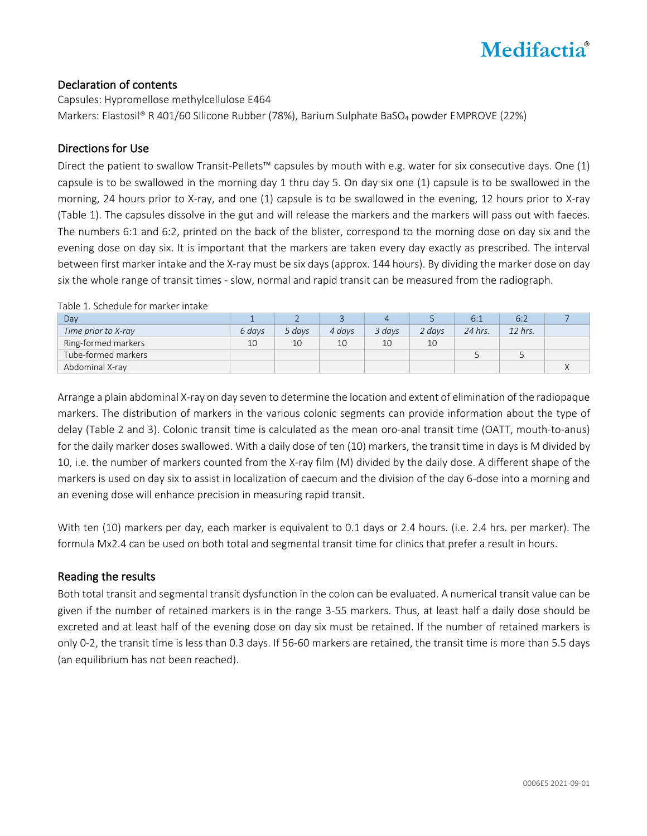

# Declaration of contents

Capsules: Hypromellose methylcellulose E464 Markers: Elastosil® R 401/60 Silicone Rubber (78%), Barium Sulphate BaSO<sub>4</sub> powder EMPROVE (22%)

# Directions for Use

Direct the patient to swallow Transit-Pellets™ capsules by mouth with e.g. water for six consecutive days. One (1) capsule is to be swallowed in the morning day 1 thru day 5. On day six one (1) capsule is to be swallowed in the morning, 24 hours prior to X-ray, and one (1) capsule is to be swallowed in the evening, 12 hours prior to X-ray (Table 1). The capsules dissolve in the gut and will release the markers and the markers will pass out with faeces. The numbers 6:1 and 6:2, printed on the back of the blister, correspond to the morning dose on day six and the evening dose on day six. It is important that the markers are taken every day exactly as prescribed. The interval between first marker intake and the X-ray must be six days (approx. 144 hours). By dividing the marker dose on day six the whole range of transit times - slow, normal and rapid transit can be measured from the radiograph.

Table 1. Schedule for marker intake

| Day                 |        |        |        |        |        |         | 6:2     |  |
|---------------------|--------|--------|--------|--------|--------|---------|---------|--|
| Time prior to X-ray | 6 davs | 5 days | 4 days | 3 davs | 2 days | 24 hrs. | 12 hrs. |  |
| Ring-formed markers | 10     | 10     | 10     | 10     | 10     |         |         |  |
| Tube-formed markers |        |        |        |        |        |         |         |  |
| Abdominal X-ray     |        |        |        |        |        |         |         |  |

Arrange a plain abdominal X-ray on day seven to determine the location and extent of elimination of the radiopaque markers. The distribution of markers in the various colonic segments can provide information about the type of delay (Table 2 and 3). Colonic transit time is calculated as the mean oro-anal transit time (OATT, mouth-to-anus) for the daily marker doses swallowed. With a daily dose of ten (10) markers, the transit time in days is M divided by 10, i.e. the number of markers counted from the X-ray film (M) divided by the daily dose. A different shape of the markers is used on day six to assist in localization of caecum and the division of the day 6-dose into a morning and an evening dose will enhance precision in measuring rapid transit.

With ten (10) markers per day, each marker is equivalent to 0.1 days or 2.4 hours. (i.e. 2.4 hrs. per marker). The formula Mx2.4 can be used on both total and segmental transit time for clinics that prefer a result in hours.

# Reading the results

Both total transit and segmental transit dysfunction in the colon can be evaluated. A numerical transit value can be given if the number of retained markers is in the range 3-55 markers. Thus, at least half a daily dose should be excreted and at least half of the evening dose on day six must be retained. If the number of retained markers is only 0-2, the transit time is less than 0.3 days. If 56-60 markers are retained, the transit time is more than 5.5 days (an equilibrium has not been reached).